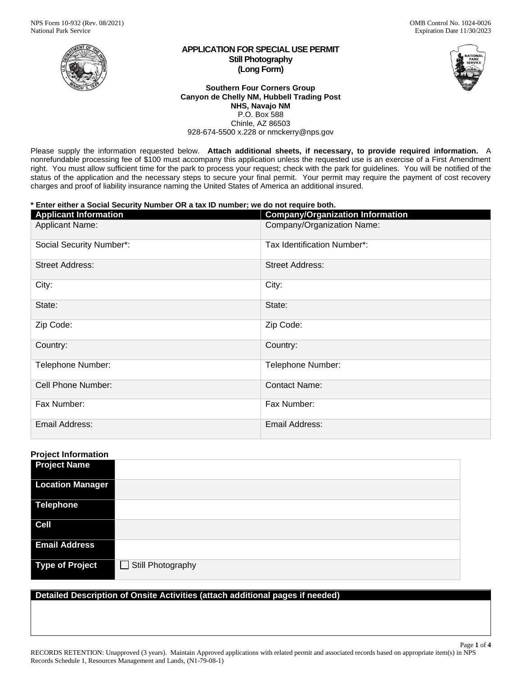

### **APPLICATION FOR SPECIAL USE PERMIT Still Photography (Long Form)**

#### **Southern Four Corners Group Canyon de Chelly NM, Hubbell Trading Post NHS, Navajo NM** P.O. Box 588 Chinle, AZ 86503 928-674-5500 x.228 or nmckerry@nps.gov

Please supply the information requested below. **Attach additional sheets, if necessary, to provide required information.** A nonrefundable processing fee of \$100 must accompany this application unless the requested use is an exercise of a First Amendment right. You must allow sufficient time for the park to process your request; check with the park for guidelines. You will be notified of the status of the application and the necessary steps to secure your final permit. Your permit may require the payment of cost recovery charges and proof of liability insurance naming the United States of America an additional insured.

# **\* Enter either a Social Security Number OR a tax ID number; we do not require both.**

| <b>Applicant Information</b> | <b>Company/Organization Information</b> |
|------------------------------|-----------------------------------------|
| <b>Applicant Name:</b>       | Company/Organization Name:              |
| Social Security Number*:     | Tax Identification Number*:             |
| <b>Street Address:</b>       | <b>Street Address:</b>                  |
| City:                        | City:                                   |
| State:                       | State:                                  |
| Zip Code:                    | Zip Code:                               |
| Country:                     | Country:                                |
| Telephone Number:            | Telephone Number:                       |
| Cell Phone Number:           | <b>Contact Name:</b>                    |
| Fax Number:                  | Fax Number:                             |
| Email Address:               | Email Address:                          |

# **Project Information**

| <b>Project Name</b>     |                          |
|-------------------------|--------------------------|
| <b>Location Manager</b> |                          |
| Telephone               |                          |
| <b>Cell</b>             |                          |
| <b>Email Address</b>    |                          |
| Type of Project         | Still Photography<br>- 1 |

# **Detailed Description of Onsite Activities (attach additional pages if needed)**

Page **1** of **4** RECORDS RETENTION: Unapproved (3 years). Maintain Approved applications with related permit and associated records based on appropriate item(s) in NPS Records Schedule 1, Resources Management and Lands, (N1-79-08-1)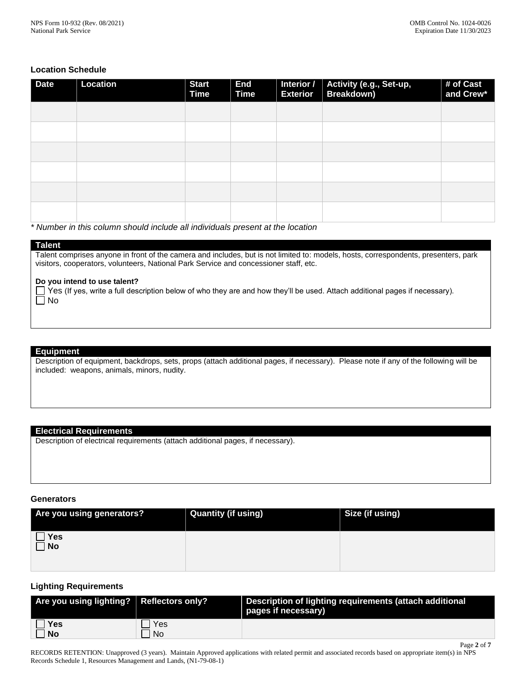Page **2** of **7**

# **Location Schedule**

| <b>Date</b> | Location | <b>Start</b><br><b>Time</b> | <b>End</b><br><b>Time</b> | <b>Exterior</b> | Interior / Activity (e.g., Set-up,<br>Breakdown) | # of Cast<br>and Crew* |
|-------------|----------|-----------------------------|---------------------------|-----------------|--------------------------------------------------|------------------------|
|             |          |                             |                           |                 |                                                  |                        |
|             |          |                             |                           |                 |                                                  |                        |
|             |          |                             |                           |                 |                                                  |                        |
|             |          |                             |                           |                 |                                                  |                        |
|             |          |                             |                           |                 |                                                  |                        |
|             |          |                             |                           |                 |                                                  |                        |

*\* Number in this column should include all individuals present at the location*

#### **Talent**

Talent comprises anyone in front of the camera and includes, but is not limited to: models, hosts, correspondents, presenters, park visitors, cooperators, volunteers, National Park Service and concessioner staff, etc.

#### **Do you intend to use talent?**

 $\Box$  Yes (If yes, write a full description below of who they are and how they'll be used. Attach additional pages if necessary).  $\Box$  No

#### **Equipment**

Description of equipment, backdrops, sets, props (attach additional pages, if necessary). Please note if any of the following will be included: weapons, animals, minors, nudity.

# **Electrical Requirements**

Description of electrical requirements (attach additional pages, if necessary).

#### **Generators**

| Are you using generators? | <b>Quantity (if using)</b> | Size (if using) |
|---------------------------|----------------------------|-----------------|
| Yes<br>$\Box$ No          |                            |                 |

# **Lighting Requirements**

| Are you using lighting? $\mid$ Reflectors only? |     | Description of lighting requirements (attach additional<br>pages if necessary) |
|-------------------------------------------------|-----|--------------------------------------------------------------------------------|
| $\Box$ Yes                                      | Yes |                                                                                |
| $\Box$ No                                       | No  |                                                                                |

RECORDS RETENTION: Unapproved (3 years). Maintain Approved applications with related permit and associated records based on appropriate item(s) in NPS Records Schedule 1, Resources Management and Lands, (N1-79-08-1)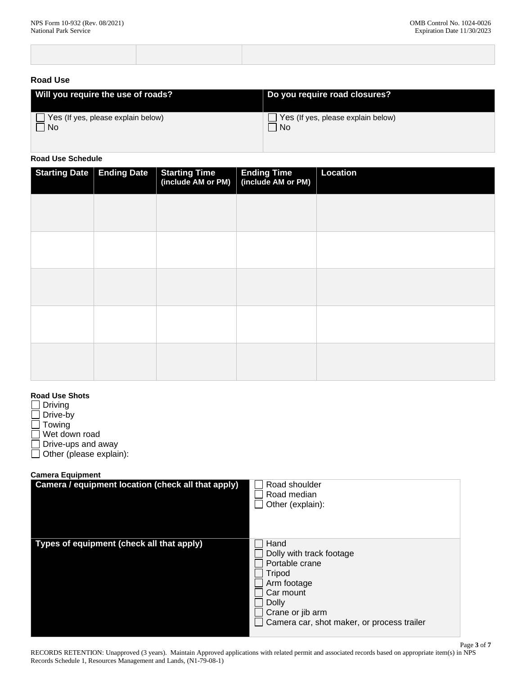# **Road Use**

| Will you require the use of roads?        | Do you require road closures?      |
|-------------------------------------------|------------------------------------|
| $\Box$ Yes (If yes, please explain below) | Yes (If yes, please explain below) |
| $\Box$ No                                 | <b>No</b>                          |

# **Road Use Schedule**

| <b>Starting Date   Ending Date</b> | <b>Starting Time</b><br>(include AM or PM) | Ending Time<br>(include AM or PM) | Location |
|------------------------------------|--------------------------------------------|-----------------------------------|----------|
|                                    |                                            |                                   |          |
|                                    |                                            |                                   |          |
|                                    |                                            |                                   |          |
|                                    |                                            |                                   |          |
|                                    |                                            |                                   |          |

# **Road Use Shots**

 $\Box$  Driving

 $\Box$  Drive-by

 $\Box$  Towing

Wet down road

Drive-ups and away П

Other (please explain):

# **Camera Equipment**

| Camera / equipment location (check all that apply) | Road shoulder<br>Road median<br>Other (explain):                                                                                                                           |
|----------------------------------------------------|----------------------------------------------------------------------------------------------------------------------------------------------------------------------------|
| Types of equipment (check all that apply)          | Hand<br>Dolly with track footage<br>Portable crane<br>Tripod<br>Arm footage<br>Car mount<br><b>Dolly</b><br>Crane or jib arm<br>Camera car, shot maker, or process trailer |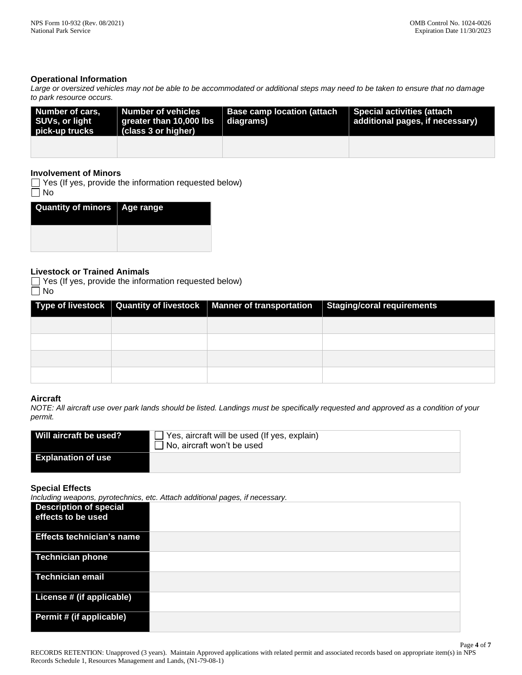Page **4** of **7**

# **Operational Information**

*Large or oversized vehicles may not be able to be accommodated or additional steps may need to be taken to ensure that no damage to park resource occurs.*

| Number of cars,<br>SUVs, or light<br>pick-up trucks | Number of vehicles<br>$\parallel$ greater than 10,000 lbs<br>$\mid$ (class 3 or higher) | Base camp location (attach<br>∣ diaɑrams) | Special activities (attach<br>additional pages, if necessary) |
|-----------------------------------------------------|-----------------------------------------------------------------------------------------|-------------------------------------------|---------------------------------------------------------------|
|                                                     |                                                                                         |                                           |                                                               |

## **Involvement of Minors**

 $\Box$  Yes (If yes, provide the information requested below)  $\overline{\Box}$  No

| I<br>Quantity of minors   Age range |  |
|-------------------------------------|--|
|                                     |  |

# **Livestock or Trained Animals**

 $\Box$  Yes (If yes, provide the information requested below)  $\Box$  No

|  | Type of livestock   Quantity of livestock   Manner of transportation   Staging/coral requirements |
|--|---------------------------------------------------------------------------------------------------|
|  |                                                                                                   |
|  |                                                                                                   |
|  |                                                                                                   |
|  |                                                                                                   |

### **Aircraft**

*NOTE: All aircraft use over park lands should be listed. Landings must be specifically requested and approved as a condition of your permit.*

| Will aircraft be used?    | $\Box$ Yes, aircraft will be used (If yes, explain)<br>$\Box$ No, aircraft won't be used |
|---------------------------|------------------------------------------------------------------------------------------|
| <b>Explanation of use</b> |                                                                                          |

## **Special Effects**

*Including weapons, pyrotechnics, etc. Attach additional pages, if necessary.*

|                                                     | $m$ olaanig noaponoj p $\mu$ oloonimooj olo. $\mu$ litaon aaaltional pagooj il noooooal $\mu$ . |
|-----------------------------------------------------|-------------------------------------------------------------------------------------------------|
| <b>Description of special</b><br>effects to be used |                                                                                                 |
| <b>Effects technician's name</b>                    |                                                                                                 |
| Technician phone                                    |                                                                                                 |
| Technician email                                    |                                                                                                 |
| License # (if applicable)                           |                                                                                                 |
| Permit # (if applicable)                            |                                                                                                 |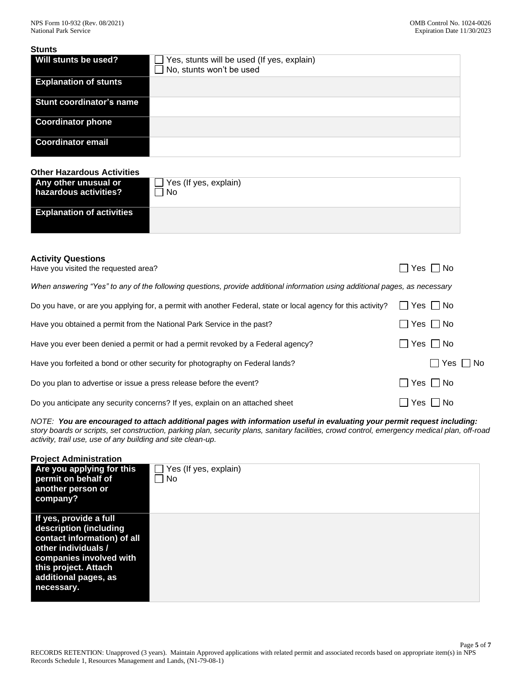#### **Stunts**

| Will stunts be used?            | Yes, stunts will be used (If yes, explain)<br>No, stunts won't be used |
|---------------------------------|------------------------------------------------------------------------|
| <b>Explanation of stunts</b>    |                                                                        |
| <b>Stunt coordinator's name</b> |                                                                        |
| <b>Coordinator phone</b>        |                                                                        |
| <b>Coordinator email</b>        |                                                                        |

### **Other Hazardous Activities**

| Any other unusual or             | $\Box$ Yes (If yes, explain) |
|----------------------------------|------------------------------|
| hazardous activities?            | No.                          |
| <b>Explanation of activities</b> |                              |

### **Activity Questions**

| Have you visited the requested area?                                                                                        | $\Box$ Yes $\Box$ No |
|-----------------------------------------------------------------------------------------------------------------------------|----------------------|
| When answering "Yes" to any of the following questions, provide additional information using additional pages, as necessary |                      |
| Do you have, or are you applying for, a permit with another Federal, state or local agency for this activity?               | $\Box$ Yes $\Box$ No |
| Have you obtained a permit from the National Park Service in the past?                                                      | $\Box$ Yes $\Box$ No |
| Have you ever been denied a permit or had a permit revoked by a Federal agency?                                             | $\Box$ Yes $\Box$ No |
| Have you forfeited a bond or other security for photography on Federal lands?                                               | $\Box$ Yes $\Box$ No |
| Do you plan to advertise or issue a press release before the event?                                                         | $\Box$ Yes $\Box$ No |
| Do you anticipate any security concerns? If yes, explain on an attached sheet                                               | $\Box$ Yes $\Box$ No |

*NOTE: You are encouraged to attach additional pages with information useful in evaluating your permit request including: story boards or scripts, set construction, parking plan, security plans, sanitary facilities, crowd control, emergency medical plan, off-road activity, trail use, use of any building and site clean-up.*

| <b>Project Administration</b>                                                                                                                                                                   |                                                             |
|-------------------------------------------------------------------------------------------------------------------------------------------------------------------------------------------------|-------------------------------------------------------------|
| Are you applying for this<br>permit on behalf of<br>another person or<br>company?                                                                                                               | Yes (If yes, explain)<br>l I<br>$\blacksquare$<br><b>No</b> |
| If yes, provide a full<br>description (including<br>contact information) of all<br>other individuals /<br>companies involved with<br>this project. Attach<br>additional pages, as<br>necessary. |                                                             |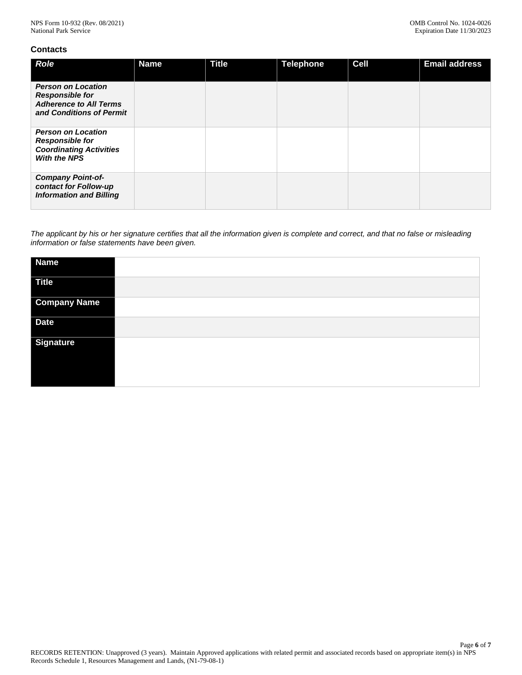# **Contacts**

| <b>Role</b>                                                                                                      | <b>Name</b> | <b>Title</b> | <b>Telephone</b> | <b>Cell</b> | <b>Email address</b> |
|------------------------------------------------------------------------------------------------------------------|-------------|--------------|------------------|-------------|----------------------|
| <b>Person on Location</b><br><b>Responsible for</b><br><b>Adherence to All Terms</b><br>and Conditions of Permit |             |              |                  |             |                      |
| <b>Person on Location</b><br><b>Responsible for</b><br><b>Coordinating Activities</b><br><b>With the NPS</b>     |             |              |                  |             |                      |
| <b>Company Point-of-</b><br>contact for Follow-up<br><b>Information and Billing</b>                              |             |              |                  |             |                      |

*The applicant by his or her signature certifies that all the information given is complete and correct, and that no false or misleading information or false statements have been given.*

| <b>Name</b>         |  |
|---------------------|--|
| <b>Title</b>        |  |
| <b>Company Name</b> |  |
| <b>Date</b>         |  |
| <b>Signature</b>    |  |